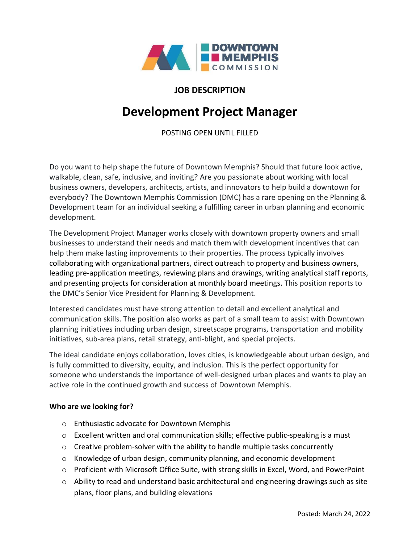

## **JOB DESCRIPTION**

## **Development Project Manager**

POSTING OPEN UNTIL FILLED

Do you want to help shape the future of Downtown Memphis? Should that future look active, walkable, clean, safe, inclusive, and inviting? Are you passionate about working with local business owners, developers, architects, artists, and innovators to help build a downtown for everybody? The Downtown Memphis Commission (DMC) has a rare opening on the Planning & Development team for an individual seeking a fulfilling career in urban planning and economic development.

The Development Project Manager works closely with downtown property owners and small businesses to understand their needs and match them with development incentives that can help them make lasting improvements to their properties. The process typically involves collaborating with organizational partners, direct outreach to property and business owners, leading pre-application meetings, reviewing plans and drawings, writing analytical staff reports, and presenting projects for consideration at monthly board meetings. This position reports to the DMC's Senior Vice President for Planning & Development.

Interested candidates must have strong attention to detail and excellent analytical and communication skills. The position also works as part of a small team to assist with Downtown planning initiatives including urban design, streetscape programs, transportation and mobility initiatives, sub-area plans, retail strategy, anti-blight, and special projects.

The ideal candidate enjoys collaboration, loves cities, is knowledgeable about urban design, and is fully committed to diversity, equity, and inclusion. This is the perfect opportunity for someone who understands the importance of well-designed urban places and wants to play an active role in the continued growth and success of Downtown Memphis.

## **Who are we looking for?**

- o Enthusiastic advocate for Downtown Memphis
- o Excellent written and oral communication skills; effective public-speaking is a must
- $\circ$  Creative problem-solver with the ability to handle multiple tasks concurrently
- $\circ$  Knowledge of urban design, community planning, and economic development
- o Proficient with Microsoft Office Suite, with strong skills in Excel, Word, and PowerPoint
- $\circ$  Ability to read and understand basic architectural and engineering drawings such as site plans, floor plans, and building elevations